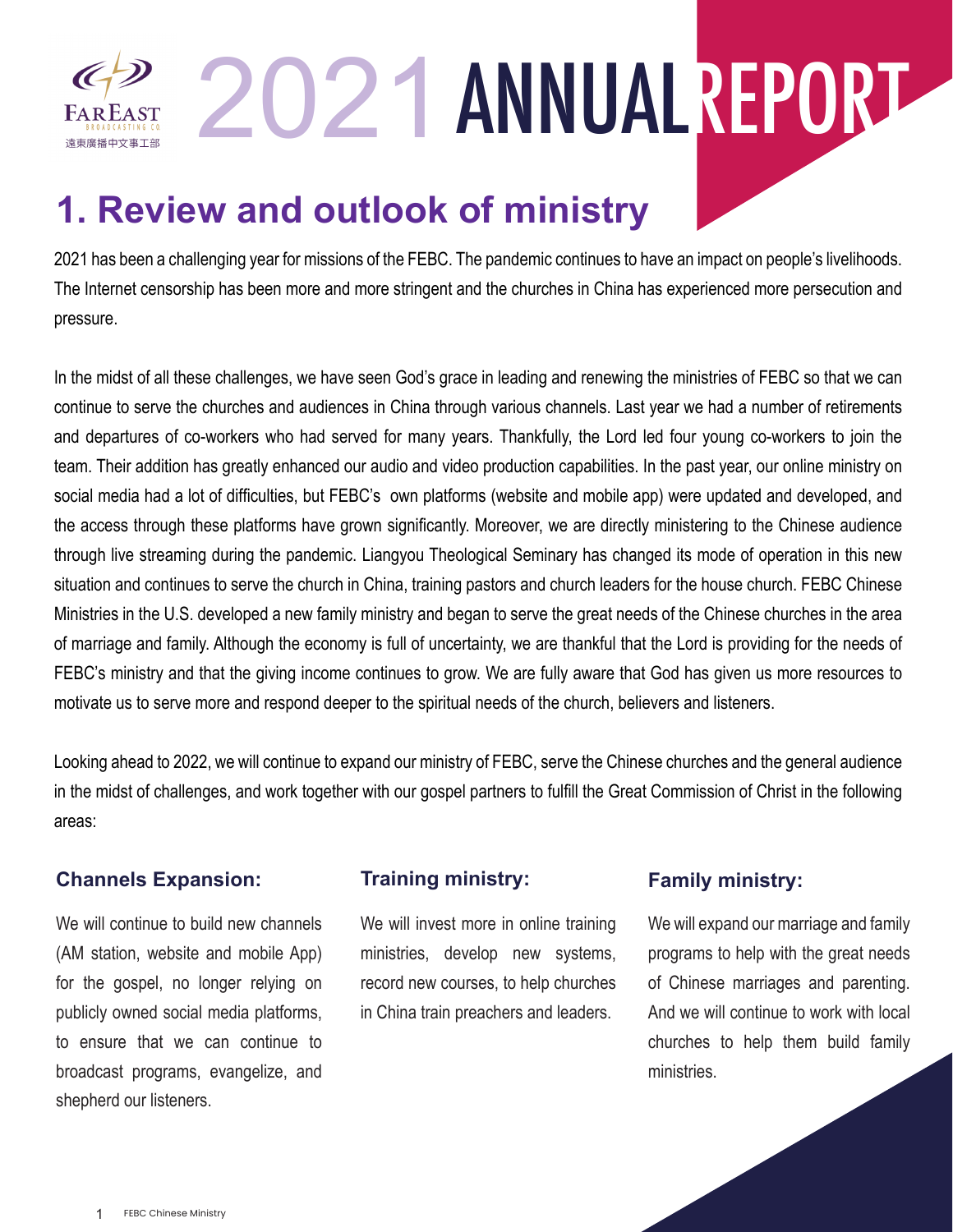2021ANNUALREPORT

## **1. Review and outlook of ministry**

2021 has been a challenging year for missions of the FEBC. The pandemic continues to have an impact on people's livelihoods. The Internet censorship has been more and more stringent and the churches in China has experienced more persecution and pressure.

In the midst of all these challenges, we have seen God's grace in leading and renewing the ministries of FEBC so that we can continue to serve the churches and audiences in China through various channels. Last year we had a number of retirements and departures of co-workers who had served for many years. Thankfully, the Lord led four young co-workers to join the team. Their addition has greatly enhanced our audio and video production capabilities. In the past year, our online ministry on social media had a lot of difficulties, but FEBC's own platforms (website and mobile app) were updated and developed, and the access through these platforms have grown significantly. Moreover, we are directly ministering to the Chinese audience through live streaming during the pandemic. Liangyou Theological Seminary has changed its mode of operation in this new situation and continues to serve the church in China, training pastors and church leaders for the house church. FEBC Chinese Ministries in the U.S. developed a new family ministry and began to serve the great needs of the Chinese churches in the area of marriage and family. Although the economy is full of uncertainty, we are thankful that the Lord is providing for the needs of FEBC's ministry and that the giving income continues to grow. We are fully aware that God has given us more resources to motivate us to serve more and respond deeper to the spiritual needs of the church, believers and listeners.

Looking ahead to 2022, we will continue to expand our ministry of FEBC, serve the Chinese churches and the general audience in the midst of challenges, and work together with our gospel partners to fulfill the Great Commission of Christ in the following areas:

#### **Channels Expansion:** Training ministry: Family ministry:

**FAREAST** 遠東廣播中文事工部

We will continue to build new channels (AM station, website and mobile App) for the gospel, no longer relying on publicly owned social media platforms, to ensure that we can continue to broadcast programs, evangelize, and shepherd our listeners.

#### **Training ministry:**

We will invest more in online training ministries, develop new systems, record new courses, to help churches in China train preachers and leaders.

We will expand our marriage and family programs to help with the great needs of Chinese marriages and parenting. And we will continue to work with local churches to help them build family ministries.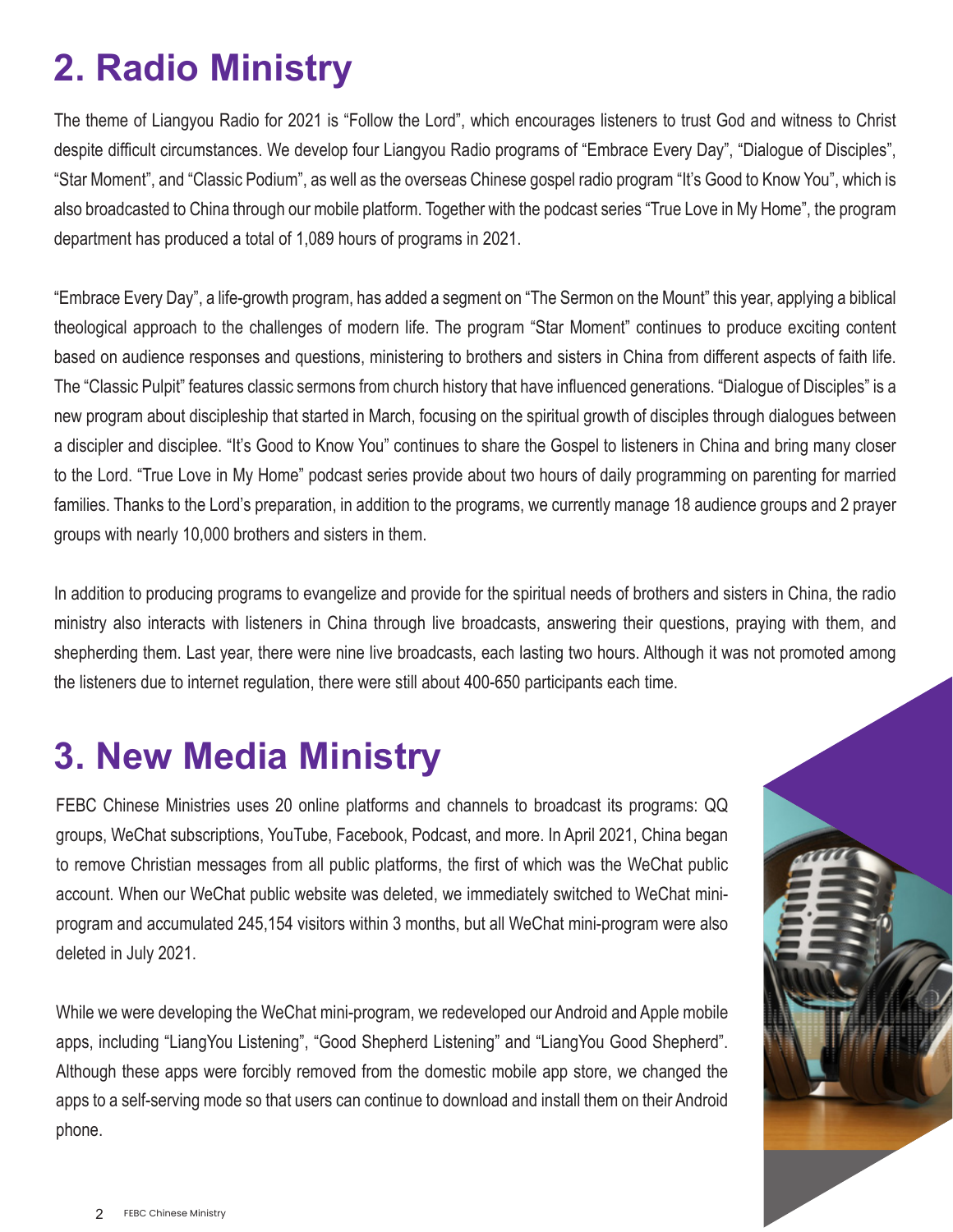# **2. Radio Ministry**

The theme of Liangyou Radio for 2021 is "Follow the Lord", which encourages listeners to trust God and witness to Christ despite difficult circumstances. We develop four Liangyou Radio programs of "Embrace Every Day", "Dialogue of Disciples", "Star Moment", and "Classic Podium", as well as the overseas Chinese gospel radio program "It's Good to Know You", which is also broadcasted to China through our mobile platform. Together with the podcast series "True Love in My Home", the program department has produced a total of 1,089 hours of programs in 2021.

"Embrace Every Day", a life-growth program, has added a segment on "The Sermon on the Mount" this year, applying a biblical theological approach to the challenges of modern life. The program "Star Moment" continues to produce exciting content based on audience responses and questions, ministering to brothers and sisters in China from different aspects of faith life. The "Classic Pulpit" features classic sermons from church history that have influenced generations. "Dialogue of Disciples" is a new program about discipleship that started in March, focusing on the spiritual growth of disciples through dialogues between a discipler and disciplee. "It's Good to Know You" continues to share the Gospel to listeners in China and bring many closer to the Lord. "True Love in My Home" podcast series provide about two hours of daily programming on parenting for married families. Thanks to the Lord's preparation, in addition to the programs, we currently manage 18 audience groups and 2 prayer groups with nearly 10,000 brothers and sisters in them.

In addition to producing programs to evangelize and provide for the spiritual needs of brothers and sisters in China, the radio ministry also interacts with listeners in China through live broadcasts, answering their questions, praying with them, and shepherding them. Last year, there were nine live broadcasts, each lasting two hours. Although it was not promoted among the listeners due to internet regulation, there were still about 400-650 participants each time.

#### **3. New Media Ministry**

FEBC Chinese Ministries uses 20 online platforms and channels to broadcast its programs: QQ groups, WeChat subscriptions, YouTube, Facebook, Podcast, and more. In April 2021, China began to remove Christian messages from all public platforms, the first of which was the WeChat public account. When our WeChat public website was deleted, we immediately switched to WeChat miniprogram and accumulated 245,154 visitors within 3 months, but all WeChat mini-program were also deleted in July 2021.

While we were developing the WeChat mini-program, we redeveloped our Android and Apple mobile apps, including "LiangYou Listening", "Good Shepherd Listening" and "LiangYou Good Shepherd". Although these apps were forcibly removed from the domestic mobile app store, we changed the apps to a self-serving mode so that users can continue to download and install them on their Android phone.

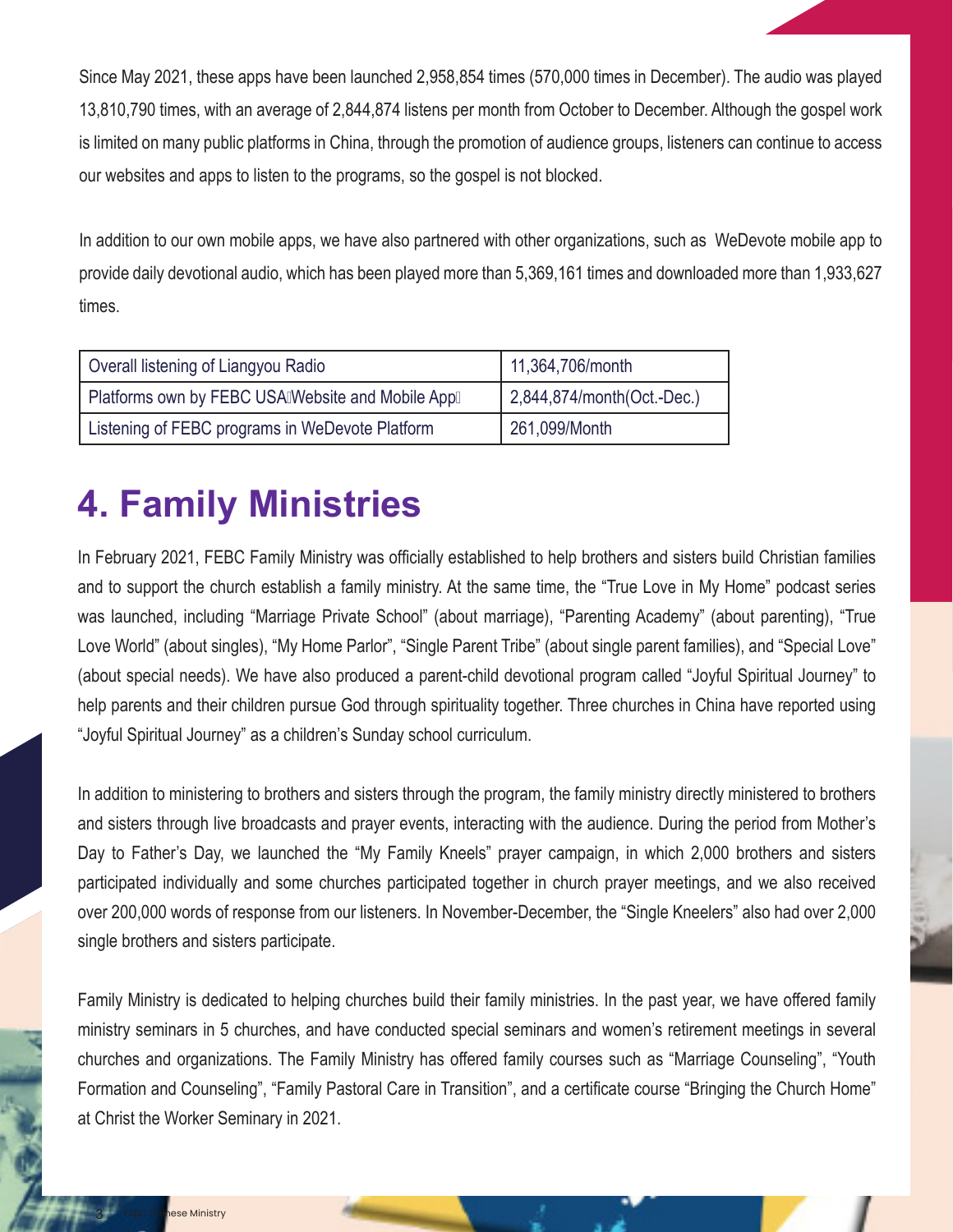Since May 2021, these apps have been launched 2,958,854 times (570,000 times in December). The audio was played 13,810,790 times, with an average of 2,844,874 listens per month from October to December. Although the gospel work is limited on many public platforms in China, through the promotion of audience groups, listeners can continue to access our websites and apps to listen to the programs, so the gospel is not blocked.

In addition to our own mobile apps, we have also partnered with other organizations, such as WeDevote mobile app to provide daily devotional audio, which has been played more than 5,369,161 times and downloaded more than 1,933,627 times.

| Overall listening of Liangyou Radio               | 11,364,706/month           |  |
|---------------------------------------------------|----------------------------|--|
| Platforms own by FEBC USAIWebsite and Mobile Appl | 2,844,874/month(Oct.-Dec.) |  |
| Listening of FEBC programs in WeDevote Platform   | 261,099/Month              |  |

# **4. Family Ministries**

In February 2021, FEBC Family Ministry was officially established to help brothers and sisters build Christian families and to support the church establish a family ministry. At the same time, the "True Love in My Home" podcast series was launched, including "Marriage Private School" (about marriage), "Parenting Academy" (about parenting), "True Love World" (about singles), "My Home Parlor", "Single Parent Tribe" (about single parent families), and "Special Love" (about special needs). We have also produced a parent-child devotional program called "Joyful Spiritual Journey" to help parents and their children pursue God through spirituality together. Three churches in China have reported using "Joyful Spiritual Journey" as a children's Sunday school curriculum.

In addition to ministering to brothers and sisters through the program, the family ministry directly ministered to brothers and sisters through live broadcasts and prayer events, interacting with the audience. During the period from Mother's Day to Father's Day, we launched the "My Family Kneels" prayer campaign, in which 2,000 brothers and sisters participated individually and some churches participated together in church prayer meetings, and we also received over 200,000 words of response from our listeners. In November-December, the "Single Kneelers" also had over 2,000 single brothers and sisters participate.

Family Ministry is dedicated to helping churches build their family ministries. In the past year, we have offered family ministry seminars in 5 churches, and have conducted special seminars and women's retirement meetings in several churches and organizations. The Family Ministry has offered family courses such as "Marriage Counseling", "Youth Formation and Counseling", "Family Pastoral Care in Transition", and a certificate course "Bringing the Church Home" at Christ the Worker Seminary in 2021.